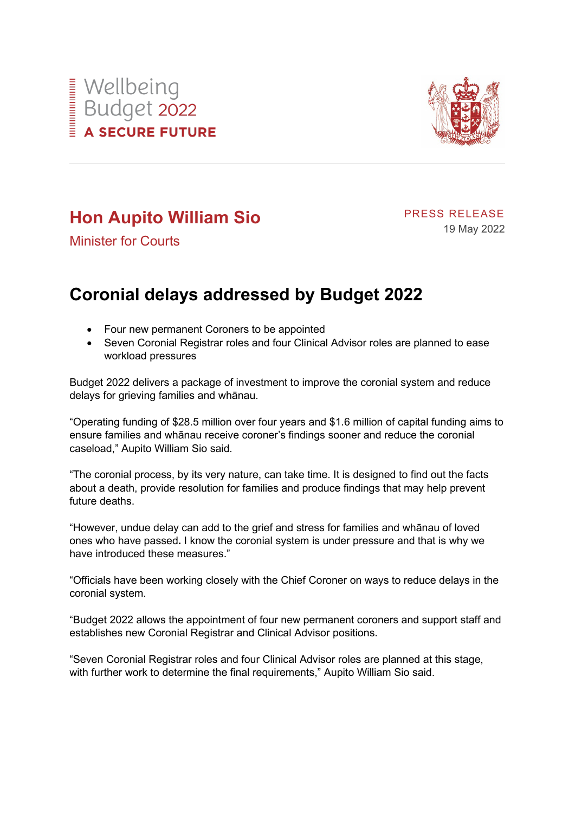



## **Hon Aupito William Sio**

PRESS RELEASE 19 May 2022

Minister for Courts

## **Coronial delays addressed by Budget 2022**

- Four new permanent Coroners to be appointed
- Seven Coronial Registrar roles and four Clinical Advisor roles are planned to ease workload pressures

Budget 2022 delivers a package of investment to improve the coronial system and reduce delays for grieving families and whānau.

"Operating funding of \$28.5 million over four years and \$1.6 million of capital funding aims to ensure families and whānau receive coroner's findings sooner and reduce the coronial caseload," Aupito William Sio said.

"The coronial process, by its very nature, can take time. It is designed to find out the facts about a death, provide resolution for families and produce findings that may help prevent future deaths.

"However, undue delay can add to the grief and stress for families and whānau of loved ones who have passed**.** I know the coronial system is under pressure and that is why we have introduced these measures."

"Officials have been working closely with the Chief Coroner on ways to reduce delays in the coronial system.

"Budget 2022 allows the appointment of four new permanent coroners and support staff and establishes new Coronial Registrar and Clinical Advisor positions.

"Seven Coronial Registrar roles and four Clinical Advisor roles are planned at this stage, with further work to determine the final requirements," Aupito William Sio said.